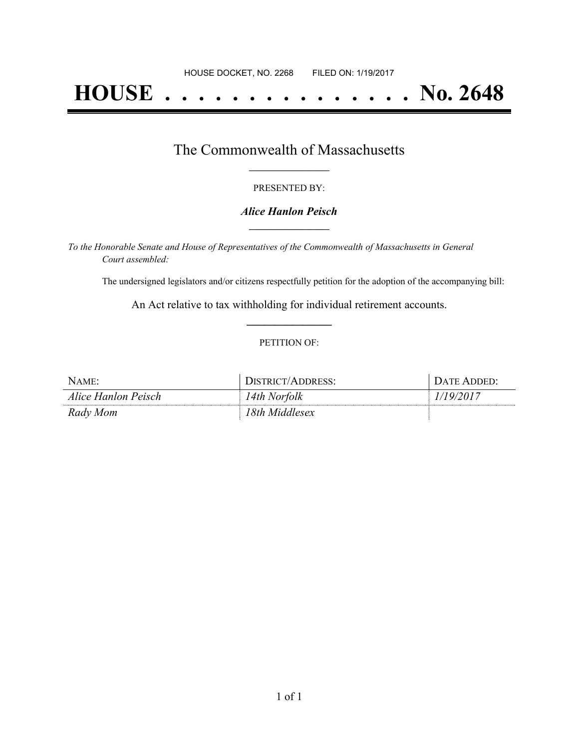# **HOUSE . . . . . . . . . . . . . . . No. 2648**

## The Commonwealth of Massachusetts **\_\_\_\_\_\_\_\_\_\_\_\_\_\_\_\_\_**

#### PRESENTED BY:

#### *Alice Hanlon Peisch* **\_\_\_\_\_\_\_\_\_\_\_\_\_\_\_\_\_**

*To the Honorable Senate and House of Representatives of the Commonwealth of Massachusetts in General Court assembled:*

The undersigned legislators and/or citizens respectfully petition for the adoption of the accompanying bill:

An Act relative to tax withholding for individual retirement accounts. **\_\_\_\_\_\_\_\_\_\_\_\_\_\_\_**

#### PETITION OF:

| Name:               | $TTTR$ $TTT/L$<br>ΔI |  |
|---------------------|----------------------|--|
| Alice Hanlon Peisch | ! 4th Norfolk        |  |
| Rady Mom            | l8th Middlesex       |  |